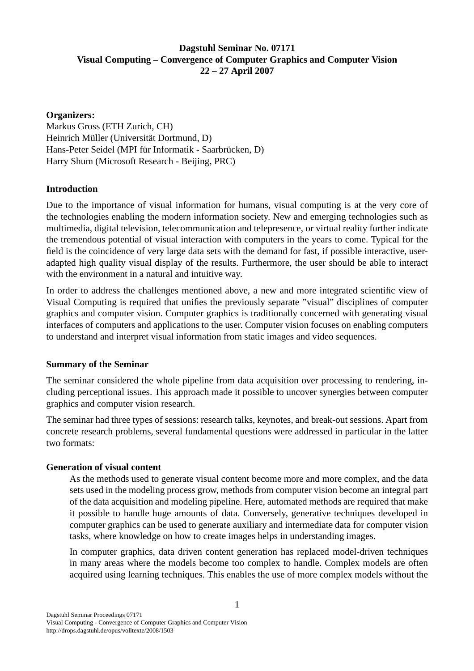# **Dagstuhl Seminar No. 07171 Visual Computing – Convergence of Computer Graphics and Computer Vision 22 – 27 April 2007**

# **Organizers:**

Markus Gross (ETH Zurich, CH) Heinrich Müller (Universität Dortmund, D) Hans-Peter Seidel (MPI für Informatik - Saarbrücken, D) Harry Shum (Microsoft Research - Beijing, PRC)

# **Introduction**

Due to the importance of visual information for humans, visual computing is at the very core of the technologies enabling the modern information society. New and emerging technologies such as multimedia, digital television, telecommunication and telepresence, or virtual reality further indicate the tremendous potential of visual interaction with computers in the years to come. Typical for the field is the coincidence of very large data sets with the demand for fast, if possible interactive, useradapted high quality visual display of the results. Furthermore, the user should be able to interact with the environment in a natural and intuitive way.

In order to address the challenges mentioned above, a new and more integrated scientific view of Visual Computing is required that unifies the previously separate "visual" disciplines of computer graphics and computer vision. Computer graphics is traditionally concerned with generating visual interfaces of computers and applications to the user. Computer vision focuses on enabling computers to understand and interpret visual information from static images and video sequences.

# **Summary of the Seminar**

The seminar considered the whole pipeline from data acquisition over processing to rendering, including perceptional issues. This approach made it possible to uncover synergies between computer graphics and computer vision research.

The seminar had three types of sessions: research talks, keynotes, and break-out sessions. Apart from concrete research problems, several fundamental questions were addressed in particular in the latter two formats:

# **Generation of visual content**

As the methods used to generate visual content become more and more complex, and the data sets used in the modeling process grow, methods from computer vision become an integral part of the data acquisition and modeling pipeline. Here, automated methods are required that make it possible to handle huge amounts of data. Conversely, generative techniques developed in computer graphics can be used to generate auxiliary and intermediate data for computer vision tasks, where knowledge on how to create images helps in understanding images.

In computer graphics, data driven content generation has replaced model-driven techniques in many areas where the models become too complex to handle. Complex models are often acquired using learning techniques. This enables the use of more complex models without the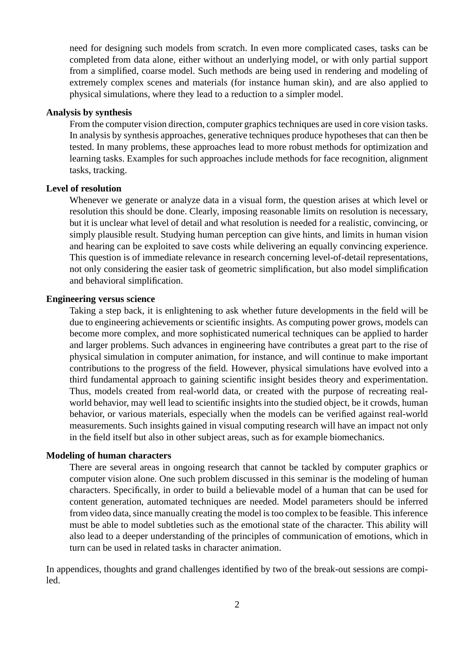need for designing such models from scratch. In even more complicated cases, tasks can be completed from data alone, either without an underlying model, or with only partial support from a simplified, coarse model. Such methods are being used in rendering and modeling of extremely complex scenes and materials (for instance human skin), and are also applied to physical simulations, where they lead to a reduction to a simpler model.

## **Analysis by synthesis**

From the computer vision direction, computer graphics techniques are used in core vision tasks. In analysis by synthesis approaches, generative techniques produce hypotheses that can then be tested. In many problems, these approaches lead to more robust methods for optimization and learning tasks. Examples for such approaches include methods for face recognition, alignment tasks, tracking.

## **Level of resolution**

Whenever we generate or analyze data in a visual form, the question arises at which level or resolution this should be done. Clearly, imposing reasonable limits on resolution is necessary, but it is unclear what level of detail and what resolution is needed for a realistic, convincing, or simply plausible result. Studying human perception can give hints, and limits in human vision and hearing can be exploited to save costs while delivering an equally convincing experience. This question is of immediate relevance in research concerning level-of-detail representations, not only considering the easier task of geometric simplification, but also model simplification and behavioral simplification.

### **Engineering versus science**

Taking a step back, it is enlightening to ask whether future developments in the field will be due to engineering achievements or scientific insights. As computing power grows, models can become more complex, and more sophisticated numerical techniques can be applied to harder and larger problems. Such advances in engineering have contributes a great part to the rise of physical simulation in computer animation, for instance, and will continue to make important contributions to the progress of the field. However, physical simulations have evolved into a third fundamental approach to gaining scientific insight besides theory and experimentation. Thus, models created from real-world data, or created with the purpose of recreating realworld behavior, may well lead to scientific insights into the studied object, be it crowds, human behavior, or various materials, especially when the models can be verified against real-world measurements. Such insights gained in visual computing research will have an impact not only in the field itself but also in other subject areas, such as for example biomechanics.

## **Modeling of human characters**

There are several areas in ongoing research that cannot be tackled by computer graphics or computer vision alone. One such problem discussed in this seminar is the modeling of human characters. Specifically, in order to build a believable model of a human that can be used for content generation, automated techniques are needed. Model parameters should be inferred from video data, since manually creating the model is too complex to be feasible. This inference must be able to model subtleties such as the emotional state of the character. This ability will also lead to a deeper understanding of the principles of communication of emotions, which in turn can be used in related tasks in character animation.

In appendices, thoughts and grand challenges identified by two of the break-out sessions are compiled.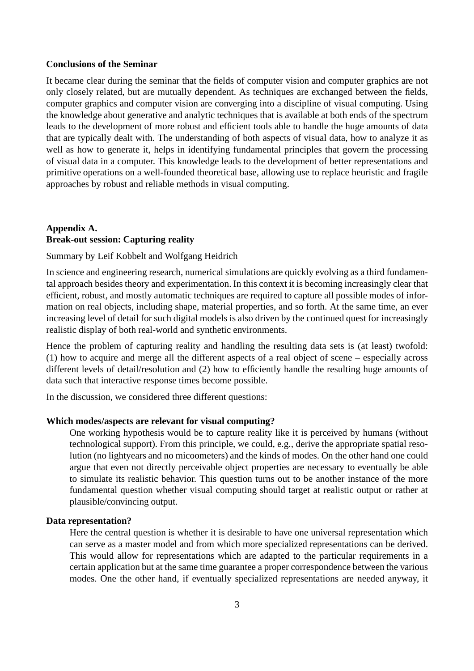#### **Conclusions of the Seminar**

It became clear during the seminar that the fields of computer vision and computer graphics are not only closely related, but are mutually dependent. As techniques are exchanged between the fields, computer graphics and computer vision are converging into a discipline of visual computing. Using the knowledge about generative and analytic techniques that is available at both ends of the spectrum leads to the development of more robust and efficient tools able to handle the huge amounts of data that are typically dealt with. The understanding of both aspects of visual data, how to analyze it as well as how to generate it, helps in identifying fundamental principles that govern the processing of visual data in a computer. This knowledge leads to the development of better representations and primitive operations on a well-founded theoretical base, allowing use to replace heuristic and fragile approaches by robust and reliable methods in visual computing.

# **Appendix A. Break-out session: Capturing reality**

## Summary by Leif Kobbelt and Wolfgang Heidrich

In science and engineering research, numerical simulations are quickly evolving as a third fundamental approach besides theory and experimentation. In this context it is becoming increasingly clear that efficient, robust, and mostly automatic techniques are required to capture all possible modes of information on real objects, including shape, material properties, and so forth. At the same time, an ever increasing level of detail for such digital models is also driven by the continued quest for increasingly realistic display of both real-world and synthetic environments.

Hence the problem of capturing reality and handling the resulting data sets is (at least) twofold: (1) how to acquire and merge all the different aspects of a real object of scene – especially across different levels of detail/resolution and (2) how to efficiently handle the resulting huge amounts of data such that interactive response times become possible.

In the discussion, we considered three different questions:

## **Which modes/aspects are relevant for visual computing?**

One working hypothesis would be to capture reality like it is perceived by humans (without technological support). From this principle, we could, e.g., derive the appropriate spatial resolution (no lightyears and no micoometers) and the kinds of modes. On the other hand one could argue that even not directly perceivable object properties are necessary to eventually be able to simulate its realistic behavior. This question turns out to be another instance of the more fundamental question whether visual computing should target at realistic output or rather at plausible/convincing output.

## **Data representation?**

Here the central question is whether it is desirable to have one universal representation which can serve as a master model and from which more specialized representations can be derived. This would allow for representations which are adapted to the particular requirements in a certain application but at the same time guarantee a proper correspondence between the various modes. One the other hand, if eventually specialized representations are needed anyway, it